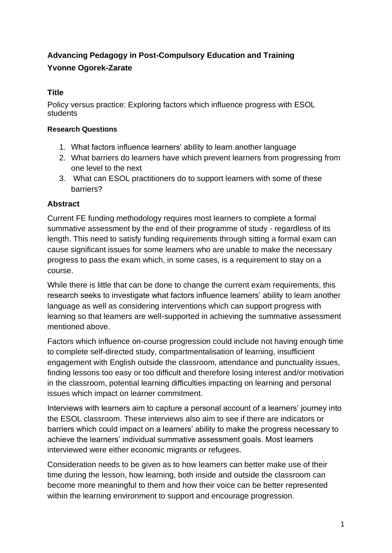# **Advancing Pedagogy in Post-Compulsory Education and Training Yvonne Ogorek-Zarate**

# **Title**

Policy versus practice: Exploring factors which influence progress with ESOL students

#### **Research Questions**

- 1. What factors influence learners' ability to learn another language
- 2. What barriers do learners have which prevent learners from progressing from one level to the next
- 3. What can ESOL practitioners do to support learners with some of these barriers?

# **Abstract**

Current FE funding methodology requires most learners to complete a formal summative assessment by the end of their programme of study - regardless of its length. This need to satisfy funding requirements through sitting a formal exam can cause significant issues for some learners who are unable to make the necessary progress to pass the exam which, in some cases, is a requirement to stay on a course.

While there is little that can be done to change the current exam requirements, this research seeks to investigate what factors influence learners' ability to learn another language as well as considering interventions which can support progress with learning so that learners are well-supported in achieving the summative assessment mentioned above.

Factors which influence on-course progression could include not having enough time to complete self-directed study, compartmentalisation of learning, insufficient engagement with English outside the classroom, attendance and punctuality issues, finding lessons too easy or too difficult and therefore losing interest and/or motivation in the classroom, potential learning difficulties impacting on learning and personal issues which impact on learner commitment.

Interviews with learners aim to capture a personal account of a learners' journey into the ESOL classroom. These interviews also aim to see if there are indicators or barriers which could impact on a learners' ability to make the progress necessary to achieve the learners' individual summative assessment goals. Most learners interviewed were either economic migrants or refugees.

Consideration needs to be given as to how learners can better make use of their time during the lesson, how learning, both inside and outside the classroom can become more meaningful to them and how their voice can be better represented within the learning environment to support and encourage progression.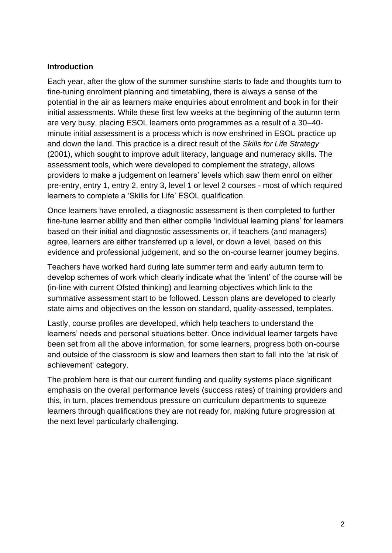#### **Introduction**

Each year, after the glow of the summer sunshine starts to fade and thoughts turn to fine-tuning enrolment planning and timetabling, there is always a sense of the potential in the air as learners make enquiries about enrolment and book in for their initial assessments. While these first few weeks at the beginning of the autumn term are very busy, placing ESOL learners onto programmes as a result of a 30–40 minute initial assessment is a process which is now enshrined in ESOL practice up and down the land. This practice is a direct result of the *Skills for Life Strategy* (2001), which sought to improve adult literacy, language and numeracy skills. The assessment tools, which were developed to complement the strategy, allows providers to make a judgement on learners' levels which saw them enrol on either pre-entry, entry 1, entry 2, entry 3, level 1 or level 2 courses - most of which required learners to complete a 'Skills for Life' ESOL qualification.

Once learners have enrolled, a diagnostic assessment is then completed to further fine-tune learner ability and then either compile 'individual learning plans' for learners based on their initial and diagnostic assessments or, if teachers (and managers) agree, learners are either transferred up a level, or down a level, based on this evidence and professional judgement, and so the on-course learner journey begins.

Teachers have worked hard during late summer term and early autumn term to develop schemes of work which clearly indicate what the 'intent' of the course will be (in-line with current Ofsted thinking) and learning objectives which link to the summative assessment start to be followed. Lesson plans are developed to clearly state aims and objectives on the lesson on standard, quality-assessed, templates.

Lastly, course profiles are developed, which help teachers to understand the learners' needs and personal situations better. Once individual learner targets have been set from all the above information, for some learners, progress both on-course and outside of the classroom is slow and learners then start to fall into the 'at risk of achievement' category.

The problem here is that our current funding and quality systems place significant emphasis on the overall performance levels (success rates) of training providers and this, in turn, places tremendous pressure on curriculum departments to squeeze learners through qualifications they are not ready for, making future progression at the next level particularly challenging.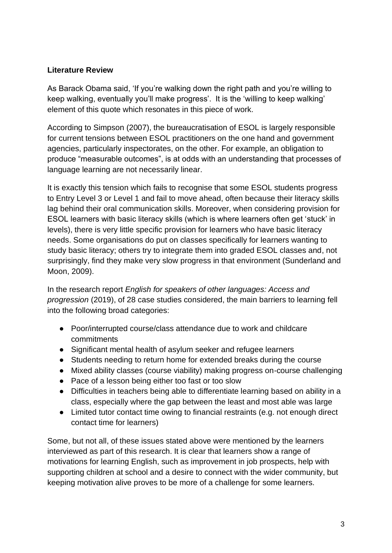### **Literature Review**

As Barack Obama said, 'If you're walking down the right path and you're willing to keep walking, eventually you'll make progress'. It is the 'willing to keep walking' element of this quote which resonates in this piece of work.

According to Simpson (2007), the bureaucratisation of ESOL is largely responsible for current tensions between ESOL practitioners on the one hand and government agencies, particularly inspectorates, on the other. For example, an obligation to produce "measurable outcomes", is at odds with an understanding that processes of language learning are not necessarily linear.

It is exactly this tension which fails to recognise that some ESOL students progress to Entry Level 3 or Level 1 and fail to move ahead, often because their literacy skills lag behind their oral communication skills. Moreover, when considering provision for ESOL learners with basic literacy skills (which is where learners often get 'stuck' in levels), there is very little specific provision for learners who have basic literacy needs. Some organisations do put on classes specifically for learners wanting to study basic literacy; others try to integrate them into graded ESOL classes and, not surprisingly, find they make very slow progress in that environment (Sunderland and Moon, 2009).

In the research report *English for speakers of other languages: Access and progression* (2019), of 28 case studies considered, the main barriers to learning fell into the following broad categories:

- Poor/interrupted course/class attendance due to work and childcare commitments
- Significant mental health of asylum seeker and refugee learners
- Students needing to return home for extended breaks during the course
- Mixed ability classes (course viability) making progress on-course challenging
- Pace of a lesson being either too fast or too slow
- Difficulties in teachers being able to differentiate learning based on ability in a class, especially where the gap between the least and most able was large
- Limited tutor contact time owing to financial restraints (e.g. not enough direct contact time for learners)

Some, but not all, of these issues stated above were mentioned by the learners interviewed as part of this research. It is clear that learners show a range of motivations for learning English, such as improvement in job prospects, help with supporting children at school and a desire to connect with the wider community, but keeping motivation alive proves to be more of a challenge for some learners.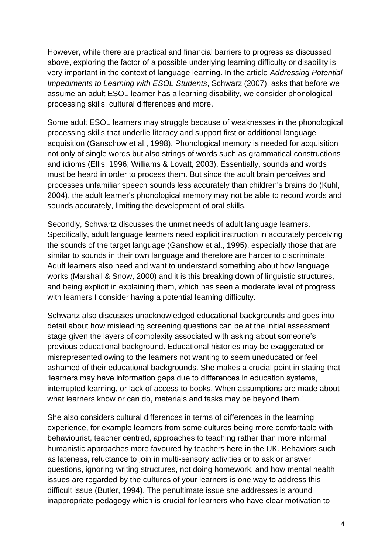However, while there are practical and financial barriers to progress as discussed above, exploring the factor of a possible underlying learning difficulty or disability is very important in the context of language learning. In the article *Addressing Potential Impediments to Learning with ESOL Students*, Schwarz (2007), asks that before we assume an adult ESOL learner has a learning disability, we consider phonological processing skills, cultural differences and more.

Some adult ESOL learners may struggle because of weaknesses in the phonological processing skills that underlie literacy and support first or additional language acquisition (Ganschow et al., 1998). Phonological memory is needed for acquisition not only of single words but also strings of words such as grammatical constructions and idioms (Ellis, 1996; Williams & Lovatt, 2003). Essentially, sounds and words must be heard in order to process them. But since the adult brain perceives and processes unfamiliar speech sounds less accurately than children's brains do (Kuhl, 2004), the adult learner's phonological memory may not be able to record words and sounds accurately, limiting the development of oral skills.

Secondly, Schwartz discusses the unmet needs of adult language learners. Specifically, adult language learners need explicit instruction in accurately perceiving the sounds of the target language (Ganshow et al., 1995), especially those that are similar to sounds in their own language and therefore are harder to discriminate. Adult learners also need and want to understand something about how language works (Marshall & Snow, 2000) and it is this breaking down of linguistic structures, and being explicit in explaining them, which has seen a moderate level of progress with learners I consider having a potential learning difficulty.

Schwartz also discusses unacknowledged educational backgrounds and goes into detail about how misleading screening questions can be at the initial assessment stage given the layers of complexity associated with asking about someone's previous educational background. Educational histories may be exaggerated or misrepresented owing to the learners not wanting to seem uneducated or feel ashamed of their educational backgrounds. She makes a crucial point in stating that 'learners may have information gaps due to differences in education systems, interrupted learning, or lack of access to books. When assumptions are made about what learners know or can do, materials and tasks may be beyond them.'

She also considers cultural differences in terms of differences in the learning experience, for example learners from some cultures being more comfortable with behaviourist, teacher centred, approaches to teaching rather than more informal humanistic approaches more favoured by teachers here in the UK. Behaviors such as lateness, reluctance to join in multi-sensory activities or to ask or answer questions, ignoring writing structures, not doing homework, and how mental health issues are regarded by the cultures of your learners is one way to address this difficult issue (Butler, 1994). The penultimate issue she addresses is around inappropriate pedagogy which is crucial for learners who have clear motivation to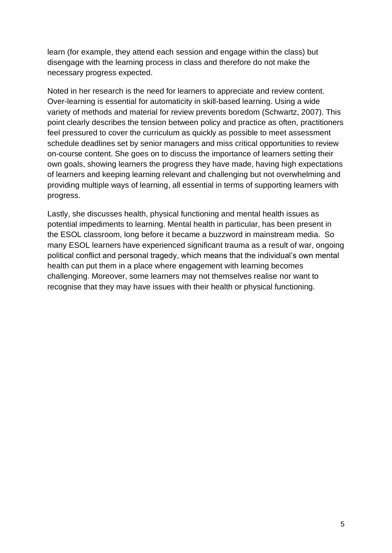learn (for example, they attend each session and engage within the class) but disengage with the learning process in class and therefore do not make the necessary progress expected.

Noted in her research is the need for learners to appreciate and review content. Over-learning is essential for automaticity in skill-based learning. Using a wide variety of methods and material for review prevents boredom (Schwartz, 2007). This point clearly describes the tension between policy and practice as often, practitioners feel pressured to cover the curriculum as quickly as possible to meet assessment schedule deadlines set by senior managers and miss critical opportunities to review on-course content. She goes on to discuss the importance of learners setting their own goals, showing learners the progress they have made, having high expectations of learners and keeping learning relevant and challenging but not overwhelming and providing multiple ways of learning, all essential in terms of supporting learners with progress.

Lastly, she discusses health, physical functioning and mental health issues as potential impediments to learning. Mental health in particular, has been present in the ESOL classroom, long before it became a buzzword in mainstream media. So many ESOL learners have experienced significant trauma as a result of war, ongoing political conflict and personal tragedy, which means that the individual's own mental health can put them in a place where engagement with learning becomes challenging. Moreover, some learners may not themselves realise nor want to recognise that they may have issues with their health or physical functioning.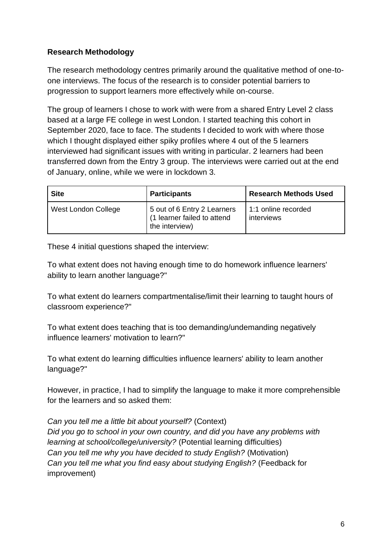# **Research Methodology**

The research methodology centres primarily around the qualitative method of one-toone interviews. The focus of the research is to consider potential barriers to progression to support learners more effectively while on-course.

The group of learners I chose to work with were from a shared Entry Level 2 class based at a large FE college in west London. I started teaching this cohort in September 2020, face to face. The students I decided to work with where those which I thought displayed either spiky profiles where 4 out of the 5 learners interviewed had significant issues with writing in particular. 2 learners had been transferred down from the Entry 3 group. The interviews were carried out at the end of January, online, while we were in lockdown 3.

| <b>Site</b>         | <b>Participants</b>                                                          | <b>Research Methods Used</b>      |
|---------------------|------------------------------------------------------------------------------|-----------------------------------|
| West London College | 5 out of 6 Entry 2 Learners<br>(1 learner failed to attend<br>the interview) | 1:1 online recorded<br>interviews |

These 4 initial questions shaped the interview:

To what extent does not having enough time to do homework influence learners' ability to learn another language?"

To what extent do learners compartmentalise/limit their learning to taught hours of classroom experience?"

To what extent does teaching that is too demanding/undemanding negatively influence learners' motivation to learn?"

To what extent do learning difficulties influence learners' ability to learn another language?"

However, in practice, I had to simplify the language to make it more comprehensible for the learners and so asked them:

*Can you tell me a little bit about yourself?* (Context) *Did you go to school in your own country, and did you have any problems with learning at school/college/university?* (Potential learning difficulties) *Can you tell me why you have decided to study English?* (Motivation) *Can you tell me what you find easy about studying English?* (Feedback for improvement)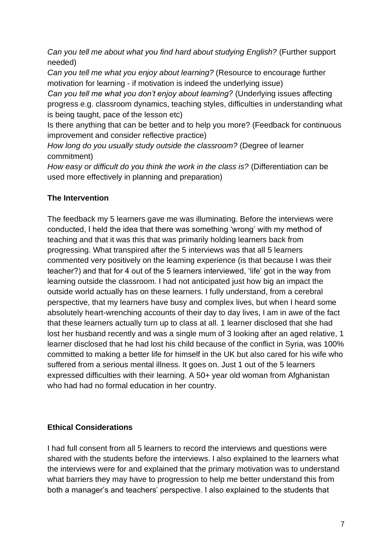*Can you tell me about what you find hard about studying English?* (Further support needed)

*Can you tell me what you enjoy about learning?* (Resource to encourage further motivation for learning - if motivation is indeed the underlying issue)

*Can you tell me what you don't enjoy about learning?* (Underlying issues affecting progress e.g. classroom dynamics, teaching styles, difficulties in understanding what is being taught, pace of the lesson etc)

Is there anything that can be better and to help you more? (Feedback for continuous improvement and consider reflective practice)

*How long do you usually study outside the classroom?* (Degree of learner commitment)

*How easy or difficult do you think the work in the class is?* (Differentiation can be used more effectively in planning and preparation)

# **The Intervention**

The feedback my 5 learners gave me was illuminating. Before the interviews were conducted, I held the idea that there was something 'wrong' with my method of teaching and that it was this that was primarily holding learners back from progressing. What transpired after the 5 interviews was that all 5 learners commented very positively on the learning experience (is that because I was their teacher?) and that for 4 out of the 5 learners interviewed, 'life' got in the way from learning outside the classroom. I had not anticipated just how big an impact the outside world actually has on these learners. I fully understand, from a cerebral perspective, that my learners have busy and complex lives, but when I heard some absolutely heart-wrenching accounts of their day to day lives, I am in awe of the fact that these learners actually turn up to class at all. 1 learner disclosed that she had lost her husband recently and was a single mum of 3 looking after an aged relative, 1 learner disclosed that he had lost his child because of the conflict in Syria, was 100% committed to making a better life for himself in the UK but also cared for his wife who suffered from a serious mental illness. It goes on. Just 1 out of the 5 learners expressed difficulties with their learning. A 50+ year old woman from Afghanistan who had had no formal education in her country.

# **Ethical Considerations**

I had full consent from all 5 learners to record the interviews and questions were shared with the students before the interviews. I also explained to the learners what the interviews were for and explained that the primary motivation was to understand what barriers they may have to progression to help me better understand this from both a manager's and teachers' perspective. I also explained to the students that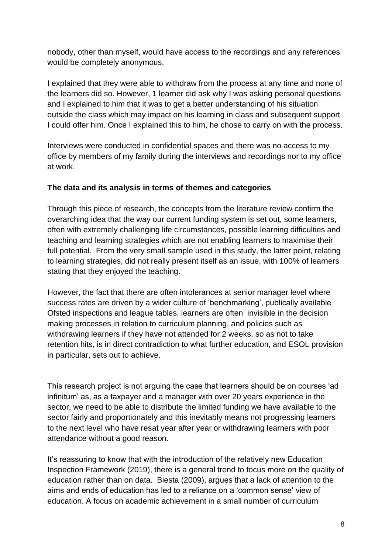nobody, other than myself, would have access to the recordings and any references would be completely anonymous.

I explained that they were able to withdraw from the process at any time and none of the learners did so. However, 1 learner did ask why I was asking personal questions and I explained to him that it was to get a better understanding of his situation outside the class which may impact on his learning in class and subsequent support I could offer him. Once I explained this to him, he chose to carry on with the process.

Interviews were conducted in confidential spaces and there was no access to my office by members of my family during the interviews and recordings nor to my office at work.

### **The data and its analysis in terms of themes and categories**

Through this piece of research, the concepts from the literature review confirm the overarching idea that the way our current funding system is set out, some learners, often with extremely challenging life circumstances, possible learning difficulties and teaching and learning strategies which are not enabling learners to maximise their full potential. From the very small sample used in this study, the latter point, relating to learning strategies, did not really present itself as an issue, with 100% of learners stating that they enjoyed the teaching.

However, the fact that there are often intolerances at senior manager level where success rates are driven by a wider culture of 'benchmarking', publically available Ofsted inspections and league tables, learners are often invisible in the decision making processes in relation to curriculum planning, and policies such as withdrawing learners if they have not attended for 2 weeks, so as not to take retention hits, is in direct contradiction to what further education, and ESOL provision in particular, sets out to achieve.

This research project is not arguing the case that learners should be on courses 'ad infinitum' as, as a taxpayer and a manager with over 20 years experience in the sector, we need to be able to distribute the limited funding we have available to the sector fairly and proportionately and this inevitably means not progressing learners to the next level who have resat year after year or withdrawing learners with poor attendance without a good reason.

It's reassuring to know that with the introduction of the relatively new Education Inspection Framework (2019), there is a general trend to focus more on the quality of education rather than on data. Biesta (2009), argues that a lack of attention to the aims and ends of education has led to a reliance on a 'common sense' view of education. A focus on academic achievement in a small number of curriculum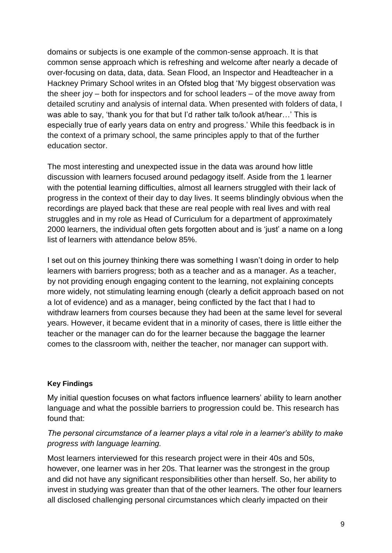domains or subjects is one example of the common-sense approach. It is that common sense approach which is refreshing and welcome after nearly a decade of over-focusing on data, data, data. Sean Flood, an Inspector and Headteacher in a Hackney Primary School writes in an Ofsted blog that 'My biggest observation was the sheer joy – both for inspectors and for school leaders – of the move away from detailed scrutiny and analysis of internal data. When presented with folders of data, I was able to say, 'thank you for that but I'd rather talk to/look at/hear…' This is especially true of early years data on entry and progress.' While this feedback is in the context of a primary school, the same principles apply to that of the further education sector.

The most interesting and unexpected issue in the data was around how little discussion with learners focused around pedagogy itself. Aside from the 1 learner with the potential learning difficulties, almost all learners struggled with their lack of progress in the context of their day to day lives. It seems blindingly obvious when the recordings are played back that these are real people with real lives and with real struggles and in my role as Head of Curriculum for a department of approximately 2000 learners, the individual often gets forgotten about and is 'just' a name on a long list of learners with attendance below 85%.

I set out on this journey thinking there was something I wasn't doing in order to help learners with barriers progress; both as a teacher and as a manager. As a teacher, by not providing enough engaging content to the learning, not explaining concepts more widely, not stimulating learning enough (clearly a deficit approach based on not a lot of evidence) and as a manager, being conflicted by the fact that I had to withdraw learners from courses because they had been at the same level for several years. However, it became evident that in a minority of cases, there is little either the teacher or the manager can do for the learner because the baggage the learner comes to the classroom with, neither the teacher, nor manager can support with.

#### **Key Findings**

My initial question focuses on what factors influence learners' ability to learn another language and what the possible barriers to progression could be. This research has found that:

### *The personal circumstance of a learner plays a vital role in a learner's ability to make progress with language learning.*

Most learners interviewed for this research project were in their 40s and 50s, however, one learner was in her 20s. That learner was the strongest in the group and did not have any significant responsibilities other than herself. So, her ability to invest in studying was greater than that of the other learners. The other four learners all disclosed challenging personal circumstances which clearly impacted on their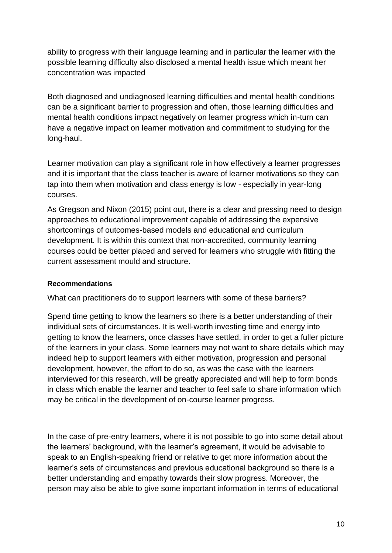ability to progress with their language learning and in particular the learner with the possible learning difficulty also disclosed a mental health issue which meant her concentration was impacted

Both diagnosed and undiagnosed learning difficulties and mental health conditions can be a significant barrier to progression and often, those learning difficulties and mental health conditions impact negatively on learner progress which in-turn can have a negative impact on learner motivation and commitment to studying for the long-haul.

Learner motivation can play a significant role in how effectively a learner progresses and it is important that the class teacher is aware of learner motivations so they can tap into them when motivation and class energy is low - especially in year-long courses.

As Gregson and Nixon (2015) point out, there is a clear and pressing need to design approaches to educational improvement capable of addressing the expensive shortcomings of outcomes-based models and educational and curriculum development. It is within this context that non-accredited, community learning courses could be better placed and served for learners who struggle with fitting the current assessment mould and structure.

### **Recommendations**

What can practitioners do to support learners with some of these barriers?

Spend time getting to know the learners so there is a better understanding of their individual sets of circumstances. It is well-worth investing time and energy into getting to know the learners, once classes have settled, in order to get a fuller picture of the learners in your class. Some learners may not want to share details which may indeed help to support learners with either motivation, progression and personal development, however, the effort to do so, as was the case with the learners interviewed for this research, will be greatly appreciated and will help to form bonds in class which enable the learner and teacher to feel safe to share information which may be critical in the development of on-course learner progress.

In the case of pre-entry learners, where it is not possible to go into some detail about the learners' background, with the learner's agreement, it would be advisable to speak to an English-speaking friend or relative to get more information about the learner's sets of circumstances and previous educational background so there is a better understanding and empathy towards their slow progress. Moreover, the person may also be able to give some important information in terms of educational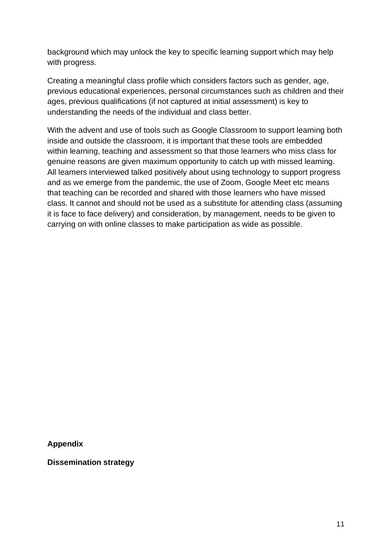background which may unlock the key to specific learning support which may help with progress.

Creating a meaningful class profile which considers factors such as gender, age, previous educational experiences, personal circumstances such as children and their ages, previous qualifications (if not captured at initial assessment) is key to understanding the needs of the individual and class better.

With the advent and use of tools such as Google Classroom to support learning both inside and outside the classroom, it is important that these tools are embedded within learning, teaching and assessment so that those learners who miss class for genuine reasons are given maximum opportunity to catch up with missed learning. All learners interviewed talked positively about using technology to support progress and as we emerge from the pandemic, the use of Zoom, Google Meet etc means that teaching can be recorded and shared with those learners who have missed class. It cannot and should not be used as a substitute for attending class (assuming it is face to face delivery) and consideration, by management, needs to be given to carrying on with online classes to make participation as wide as possible.

**Appendix**

**Dissemination strategy**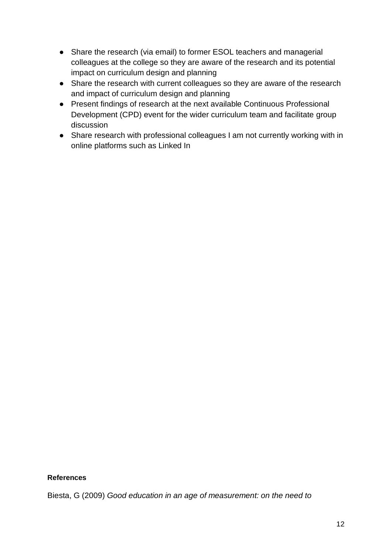- Share the research (via email) to former ESOL teachers and managerial colleagues at the college so they are aware of the research and its potential impact on curriculum design and planning
- Share the research with current colleagues so they are aware of the research and impact of curriculum design and planning
- Present findings of research at the next available Continuous Professional Development (CPD) event for the wider curriculum team and facilitate group discussion
- Share research with professional colleagues I am not currently working with in online platforms such as Linked In

#### **References**

Biesta, G (2009) *Good education in an age of measurement: on the need to*